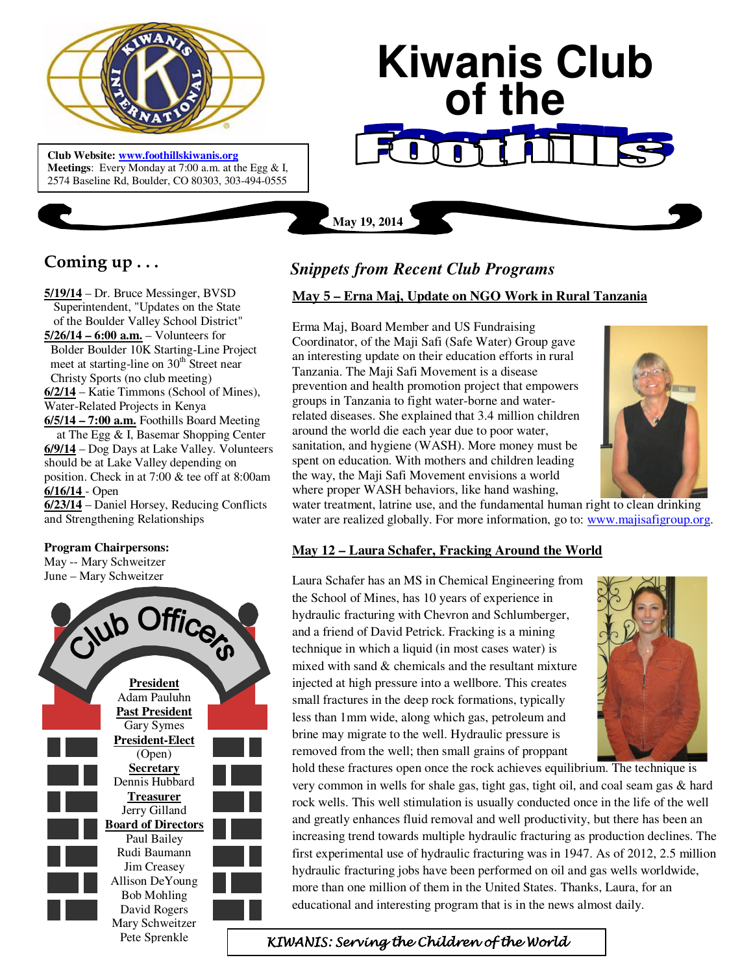

 **Meetings**: Every Monday at 7:00 a.m. at the Egg & I, **Club Website: www.foothillskiwanis.org** 2574 Baseline Rd, Boulder, CO 80303, 303-494-0555

# **Kiwanis Club of the**

**Coming up . . .** 

**5/19/14** – Dr. Bruce Messinger, BVSD Superintendent, "Updates on the State of the Boulder Valley School District" **5/26/14 – 6:00 a.m.** – Volunteers for Bolder Boulder 10K Starting-Line Project meet at starting-line on  $30<sup>th</sup>$  Street near Christy Sports (no club meeting) **6/2/14** – Katie Timmons (School of Mines), Water-Related Projects in Kenya **6/5/14 – 7:00 a.m.** Foothills Board Meeting at The Egg & I, Basemar Shopping Center **6/9/14** – Dog Days at Lake Valley. Volunteers should be at Lake Valley depending on position. Check in at 7:00 & tee off at 8:00am **6/16/14** - Open

**6/23/14** – Daniel Horsey, Reducing Conflicts and Strengthening Relationships

#### **Program Chairpersons:**

May -- Mary Schweitzer June – Mary Schweitzer



## *Snippets from Recent Club Programs*

**May 19, 2014**

#### **May 5 – Erna Maj, Update on NGO Work in Rural Tanzania**

Erma Maj, Board Member and US Fundraising Coordinator, of the Maji Safi (Safe Water) Group gave an interesting update on their education efforts in rural Tanzania. The Maji Safi Movement is a disease prevention and health promotion project that empowers groups in Tanzania to fight water-borne and waterrelated diseases. She explained that 3.4 million children around the world die each year due to poor water, sanitation, and hygiene (WASH). More money must be spent on education. With mothers and children leading the way, the Maji Safi Movement envisions a world where proper WASH behaviors, like hand washing,



water treatment, latrine use, and the fundamental human right to clean drinking water are realized globally. For more information, go to: www.majisafigroup.org.

### **May 12 – Laura Schafer, Fracking Around the World**

Laura Schafer has an MS in Chemical Engineering from the School of Mines, has 10 years of experience in hydraulic fracturing with Chevron and Schlumberger, and a friend of David Petrick. Fracking is a mining technique in which a liquid (in most cases water) is mixed with sand & chemicals and the resultant mixture injected at high pressure into a wellbore. This creates small fractures in the deep rock formations, typically less than 1mm wide, along which gas, petroleum and brine may migrate to the well. Hydraulic pressure is removed from the well; then small grains of proppant



hold these fractures open once the rock achieves equilibrium. The technique is very common in wells for shale gas, tight gas, tight oil, and coal seam gas & hard rock wells. This well stimulation is usually conducted once in the life of the well and greatly enhances fluid removal and well productivity, but there has been an increasing trend towards multiple hydraulic fracturing as production declines. The first experimental use of hydraulic fracturing was in 1947. As of 2012, 2.5 million hydraulic fracturing jobs have been performed on oil and gas wells worldwide, more than one million of them in the United States. Thanks, Laura, for an educational and interesting program that is in the news almost daily.

Pete Sprenkle KIWANIS: Serving the Children of the World